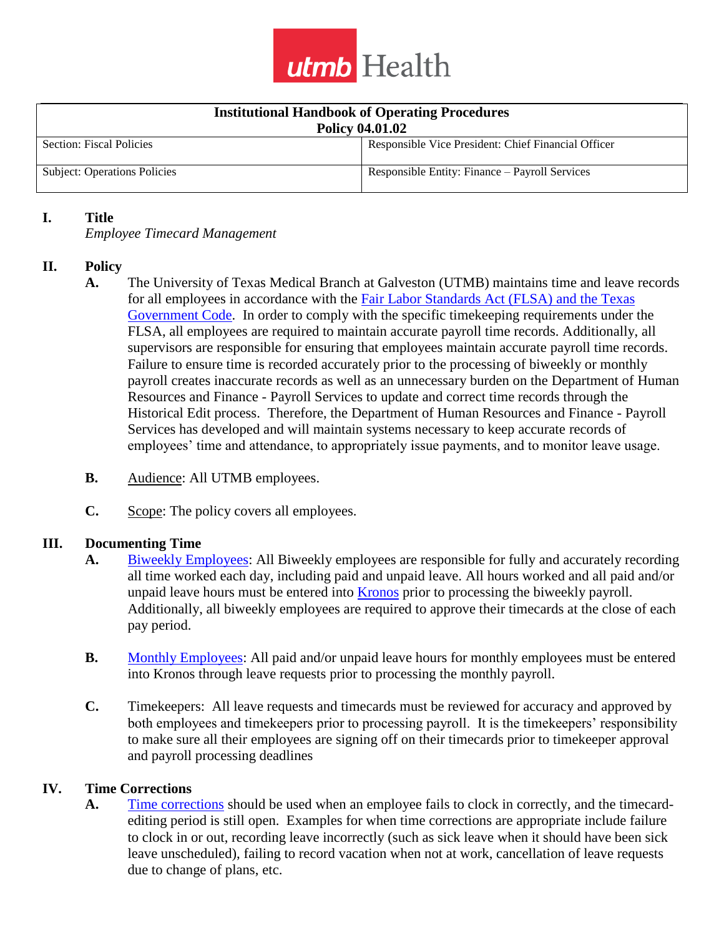

| <b>Institutional Handbook of Operating Procedures</b><br><b>Policy 04.01.02</b> |                                                     |
|---------------------------------------------------------------------------------|-----------------------------------------------------|
| Section: Fiscal Policies                                                        | Responsible Vice President: Chief Financial Officer |
| <b>Subject: Operations Policies</b>                                             | Responsible Entity: Finance – Payroll Services      |

#### **I. Title**

*Employee Timecard Management*

### **II. Policy**

- **A.** The University of Texas Medical Branch at Galveston (UTMB) maintains time and leave records for all employees in accordance with the Fair [Labor Standards Act \(FLSA\)](http://www.dol.gov/whd/regs/statutes/FairLaborStandAct.pdf) and the Texas Government Code. In order to comply with the specific timekeeping requirements under the FLSA, all employees are required to maintain accurate payroll time records. Additionally, all supervisors are responsible for ensuring that employees maintain accurate payroll time records. Failure to ensure time is recorded accurately prior to the processing of biweekly or monthly payroll creates inaccurate records as well as an unnecessary burden on the Department of Human Resources and Finance - Payroll Services to update and correct time records through the Historical Edit process. Therefore, the Department of Human Resources and Finance - Payroll Services has developed and will maintain systems necessary to keep accurate records of employees' time and attendance, to appropriately issue payments, and to monitor leave usage.
- **B.** Audience: All UTMB employees.
- **C.** Scope: The policy covers all employees.

### **III. Documenting Time**

- **A.** [Biweekly Employees:](http://intranet.utmb.edu/policies_and_procedures/Home/Definition/813) All Biweekly employees are responsible for fully and accurately recording all time worked each day, including paid and unpaid leave. All hours worked and all paid and/or unpaid leave hours must be entered into [Kronos](https://intranet.utmb.edu/policies_and_procedures/Home/Definition/815) prior to processing the biweekly payroll. Additionally, all biweekly employees are required to approve their timecards at the close of each pay period.
- **B.** [Monthly Employees:](https://intranet.utmb.edu/policies_and_procedures/Home/Definition/816) All paid and/or unpaid leave hours for monthly employees must be entered into Kronos through leave requests prior to processing the monthly payroll.
- **C.** Timekeepers: All leave requests and timecards must be reviewed for accuracy and approved by both employees and timekeepers prior to processing payroll. It is the timekeepers' responsibility to make sure all their employees are signing off on their timecards prior to timekeeper approval and payroll processing deadlines

#### **IV. Time Corrections**

**A.** [Time corrections](https://intranet.utmb.edu/policies_and_procedures/Home/Definition/818) should be used when an employee fails to clock in correctly, and the timecardediting period is still open. Examples for when time corrections are appropriate include failure to clock in or out, recording leave incorrectly (such as sick leave when it should have been sick leave unscheduled), failing to record vacation when not at work, cancellation of leave requests due to change of plans, etc.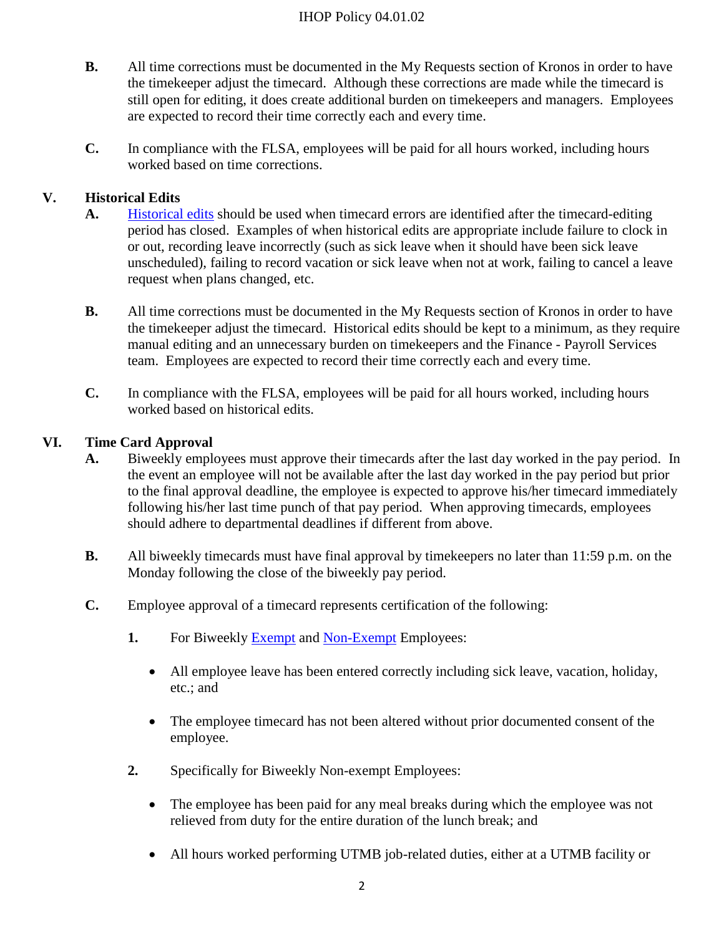## IHOP Policy 04.01.02

- **B.** All time corrections must be documented in the My Requests section of Kronos in order to have the timekeeper adjust the timecard. Although these corrections are made while the timecard is still open for editing, it does create additional burden on timekeepers and managers. Employees are expected to record their time correctly each and every time.
- **C.** In compliance with the FLSA, employees will be paid for all hours worked, including hours worked based on time corrections.

## **V. Historical Edits**

- **A.** [Historical edits](https://intranet.utmb.edu/policies_and_procedures/Home/Definition/814) should be used when timecard errors are identified after the timecard-editing period has closed. Examples of when historical edits are appropriate include failure to clock in or out, recording leave incorrectly (such as sick leave when it should have been sick leave unscheduled), failing to record vacation or sick leave when not at work, failing to cancel a leave request when plans changed, etc.
- **B.** All time corrections must be documented in the My Requests section of Kronos in order to have the timekeeper adjust the timecard. Historical edits should be kept to a minimum, as they require manual editing and an unnecessary burden on timekeepers and the Finance - Payroll Services team. Employees are expected to record their time correctly each and every time.
- **C.** In compliance with the FLSA, employees will be paid for all hours worked, including hours worked based on historical edits.

## **VI. Time Card Approval**

- **A.** Biweekly employees must approve their timecards after the last day worked in the pay period. In the event an employee will not be available after the last day worked in the pay period but prior to the final approval deadline, the employee is expected to approve his/her timecard immediately following his/her last time punch of that pay period. When approving timecards, employees should adhere to departmental deadlines if different from above.
- **B.** All biweekly timecards must have final approval by timekeepers no later than 11:59 p.m. on the Monday following the close of the biweekly pay period.
- **C.** Employee approval of a timecard represents certification of the following:
	- **1.** For Biweekly [Exempt](https://intranet.utmb.edu/policies_and_procedures/Home/Definition/687) and [Non-Exempt](https://intranet.utmb.edu/policies_and_procedures/Home/Definition/817) Employees:
		- All employee leave has been entered correctly including sick leave, vacation, holiday, etc.; and
		- The employee timecard has not been altered without prior documented consent of the employee.
	- **2.** Specifically for Biweekly Non-exempt Employees:
		- The employee has been paid for any meal breaks during which the employee was not relieved from duty for the entire duration of the lunch break; and
		- All hours worked performing UTMB job-related duties, either at a UTMB facility or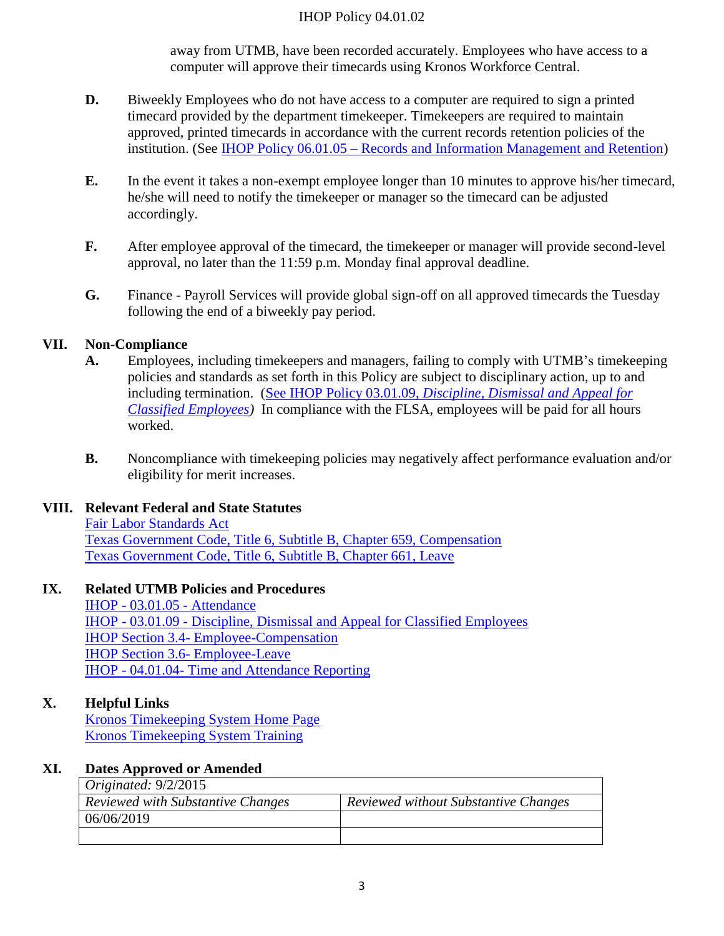#### IHOP Policy 04.01.02

away from UTMB, have been recorded accurately. Employees who have access to a computer will approve their timecards using Kronos Workforce Central.

- **D.** Biweekly Employees who do not have access to a computer are required to sign a printed timecard provided by the department timekeeper. Timekeepers are required to maintain approved, printed timecards in accordance with the current records retention policies of the institution. (See IHOP Policy 06.01.05 – [Records and Information Management and Retention\)](http://www.utmb.edu/policies_and_procedures/14551979)
- **E.** In the event it takes a non-exempt employee longer than 10 minutes to approve his/her timecard, he/she will need to notify the timekeeper or manager so the timecard can be adjusted accordingly.
- **F.** After employee approval of the timecard, the timekeeper or manager will provide second-level approval, no later than the 11:59 p.m. Monday final approval deadline.
- **G.** Finance Payroll Services will provide global sign-off on all approved timecards the Tuesday following the end of a biweekly pay period.

## **VII. Non-Compliance**

- **A.** Employees, including timekeepers and managers, failing to comply with UTMB's timekeeping policies and standards as set forth in this Policy are subject to disciplinary action, up to and including termination. (See IHOP Policy 03.01.09, *[Discipline, Dismissal](http://www.utmb.edu/policies_and_procedures/17440106) and Appeal for [Classified Employees\)](http://www.utmb.edu/policies_and_procedures/17440106)* In compliance with the FLSA, employees will be paid for all hours worked.
- **B.** Noncompliance with timekeeping policies may negatively affect performance evaluation and/or eligibility for merit increases.

### **VIII. Relevant Federal and State Statutes**

[Fair Labor Standards Act](http://www.dol.gov/whd/regs/statutes/FairLaborStandAct.pdf) [Texas Government Code, Title 6, Subtitle B, Chapter 659, Compensation](http://www.statutes.legis.state.tx.us/Docs/GV/htm/GV.659.htm) [Texas Government Code, Title 6, Subtitle B, Chapter 661, Leave](http://www.statutes.legis.state.tx.us/Docs/GV/htm/GV.661.htm)

### **IX. Related UTMB Policies and Procedures**

IHOP - 03.01.05 - [Attendance](http://www.utmb.edu/policies_and_procedures/19609510) IHOP - 03.01.09 - [Discipline, Dismissal and Appeal for Classified Employees](http://www.utmb.edu/policies_and_procedures/17440106) IHOP Section 3.4- [Employee-Compensation](http://intranet.utmb.edu/policies_and_procedures/Home/TOC/5) [IHOP Section 3.6-](http://intranet.utmb.edu/policies_and_procedures/Home/TOC/5) Employee-Leave IHOP - 04.01.04- [Time and Attendance Reporting](http://www.utmb.edu/policies_and_procedures/19734162)

## **X. Helpful Links**

[Kronos Timekeeping System Home Page](https://www.utmb.edu/time/) [Kronos Timekeeping System Training](http://mytraining.utmb.edu/content/Kronos/Publishing%20Content/PlayerPackage/data/toc.html)

### **XI. Dates Approved or Amended**

| Originated: $9/2/2015$            |                                      |
|-----------------------------------|--------------------------------------|
| Reviewed with Substantive Changes | Reviewed without Substantive Changes |
| 06/06/2019                        |                                      |
|                                   |                                      |